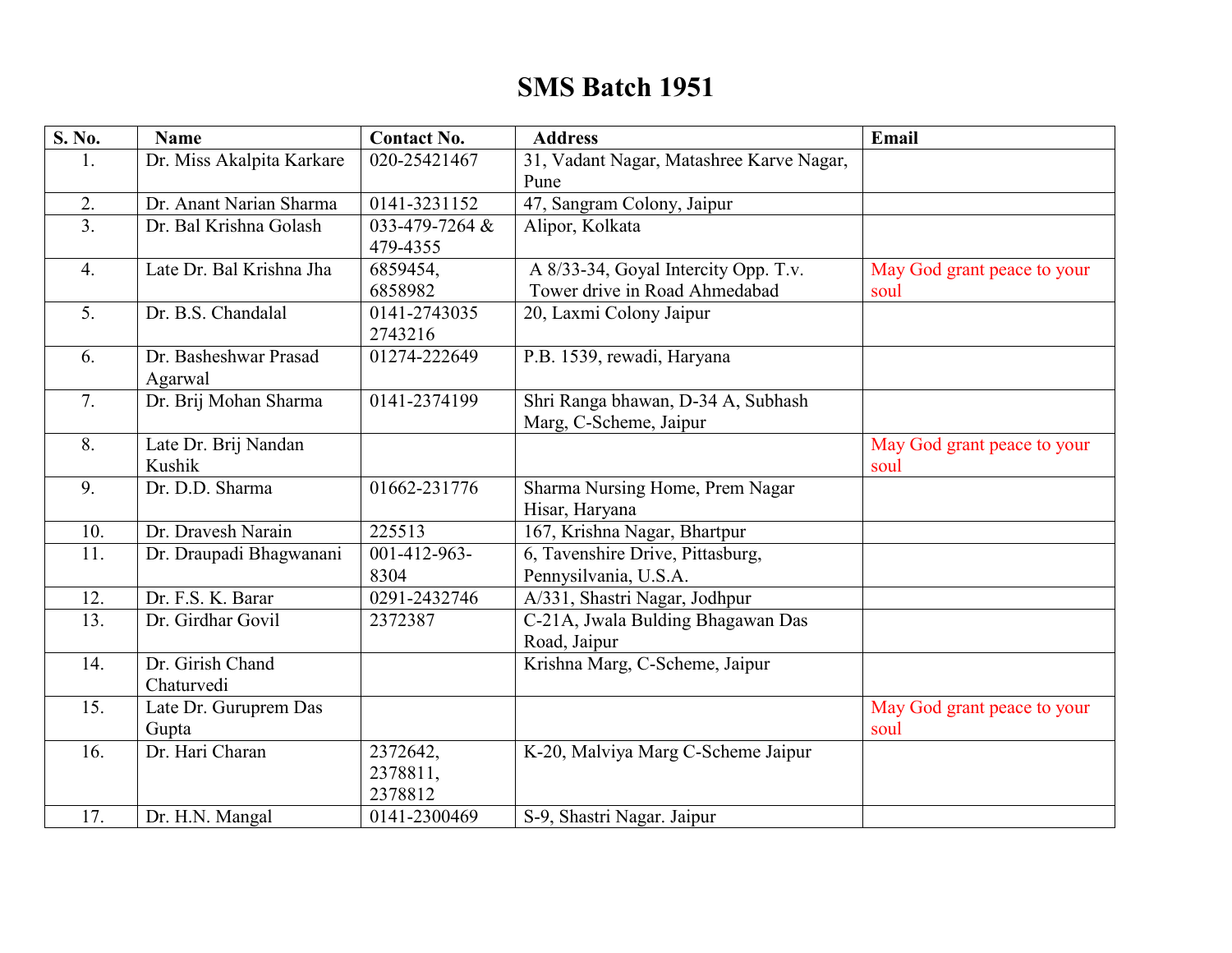## **SMS Batch 1951**

| S. No.           | <b>Name</b>               | <b>Contact No.</b>         | <b>Address</b>                           | Email                       |
|------------------|---------------------------|----------------------------|------------------------------------------|-----------------------------|
| 1.               | Dr. Miss Akalpita Karkare | 020-25421467               | 31, Vadant Nagar, Matashree Karve Nagar, |                             |
|                  |                           |                            | Pune                                     |                             |
| 2.               | Dr. Anant Narian Sharma   | 0141-3231152               | 47, Sangram Colony, Jaipur               |                             |
| $\overline{3}$ . | Dr. Bal Krishna Golash    | 033-479-7264 &             | Alipor, Kolkata                          |                             |
|                  |                           | 479-4355                   |                                          |                             |
| 4.               | Late Dr. Bal Krishna Jha  | 6859454,                   | A 8/33-34, Goyal Intercity Opp. T.v.     | May God grant peace to your |
|                  |                           | 6858982                    | Tower drive in Road Ahmedabad            | soul                        |
| 5.               | Dr. B.S. Chandalal        | 0141-2743035               | 20, Laxmi Colony Jaipur                  |                             |
|                  |                           | 2743216                    |                                          |                             |
| 6.               | Dr. Basheshwar Prasad     | 01274-222649               | P.B. 1539, rewadi, Haryana               |                             |
|                  | Agarwal                   |                            |                                          |                             |
| 7.               | Dr. Brij Mohan Sharma     | 0141-2374199               | Shri Ranga bhawan, D-34 A, Subhash       |                             |
|                  |                           |                            | Marg, C-Scheme, Jaipur                   |                             |
| 8.               | Late Dr. Brij Nandan      |                            |                                          | May God grant peace to your |
|                  | Kushik                    |                            |                                          | soul                        |
| 9.               | Dr. D.D. Sharma           | 01662-231776               | Sharma Nursing Home, Prem Nagar          |                             |
|                  |                           |                            | Hisar, Haryana                           |                             |
| 10.              | Dr. Dravesh Narain        | 225513                     | 167, Krishna Nagar, Bhartpur             |                             |
| 11.              | Dr. Draupadi Bhagwanani   | $\overline{001-412-963}$ - | 6, Tavenshire Drive, Pittasburg,         |                             |
|                  |                           | 8304                       | Pennysilvania, U.S.A.                    |                             |
| 12.              | Dr. F.S. K. Barar         | 0291-2432746               | A/331, Shastri Nagar, Jodhpur            |                             |
| 13.              | Dr. Girdhar Govil         | 2372387                    | C-21A, Jwala Bulding Bhagawan Das        |                             |
|                  |                           |                            | Road, Jaipur                             |                             |
| 14.              | Dr. Girish Chand          |                            | Krishna Marg, C-Scheme, Jaipur           |                             |
|                  | Chaturvedi                |                            |                                          |                             |
| 15.              | Late Dr. Guruprem Das     |                            |                                          | May God grant peace to your |
|                  | Gupta                     |                            |                                          | soul                        |
| 16.              | Dr. Hari Charan           | 2372642,                   | K-20, Malviya Marg C-Scheme Jaipur       |                             |
|                  |                           | 2378811,                   |                                          |                             |
|                  |                           | 2378812                    |                                          |                             |
| 17.              | Dr. H.N. Mangal           | 0141-2300469               | S-9, Shastri Nagar. Jaipur               |                             |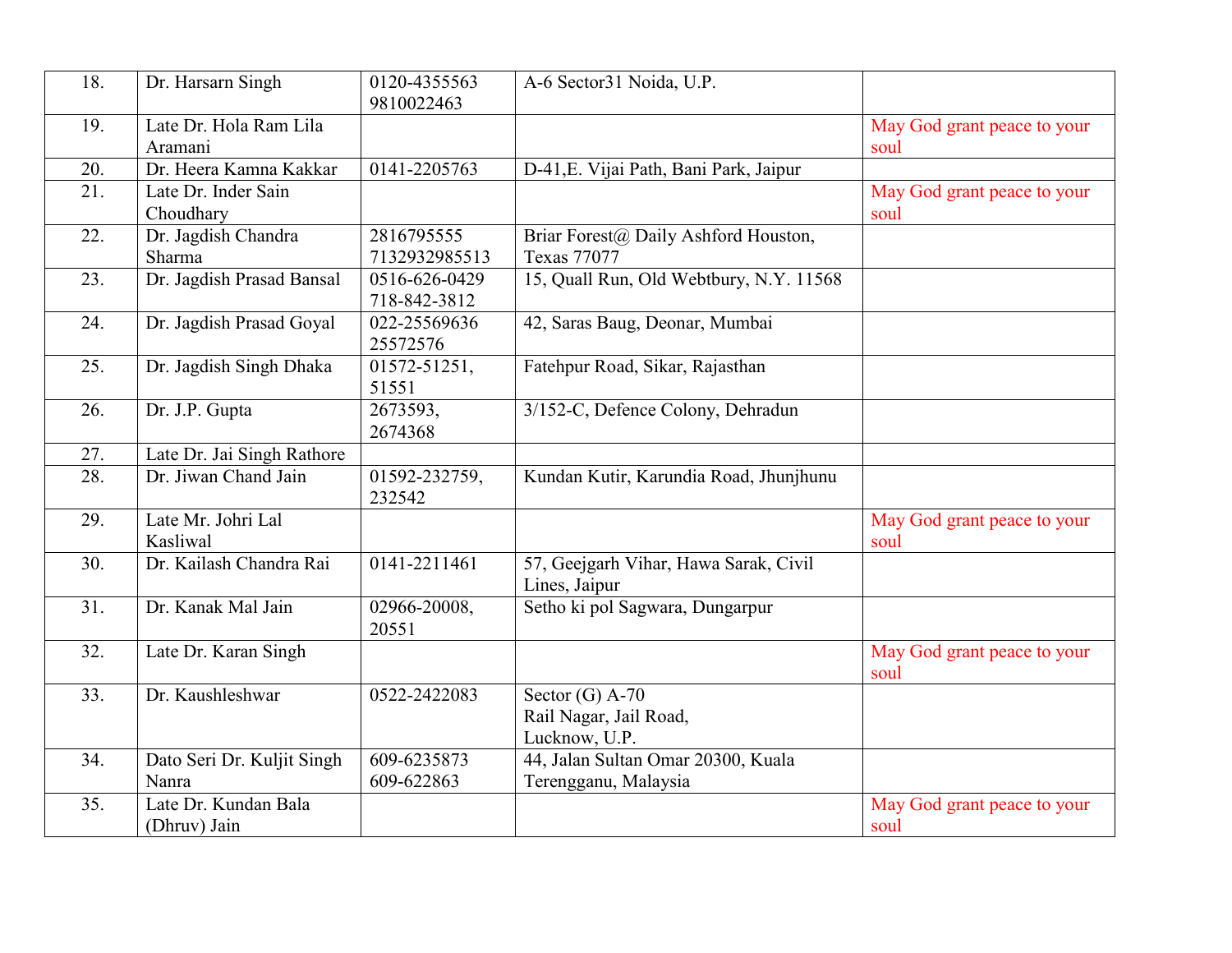| 18. | Dr. Harsarn Singh                    | 0120-4355563<br>9810022463    | A-6 Sector31 Noida, U.P.                                     |                                     |
|-----|--------------------------------------|-------------------------------|--------------------------------------------------------------|-------------------------------------|
| 19. | Late Dr. Hola Ram Lila<br>Aramani    |                               |                                                              | May God grant peace to your<br>soul |
| 20. | Dr. Heera Kamna Kakkar               | 0141-2205763                  | D-41, E. Vijai Path, Bani Park, Jaipur                       |                                     |
| 21. | Late Dr. Inder Sain<br>Choudhary     |                               |                                                              | May God grant peace to your<br>soul |
| 22. | Dr. Jagdish Chandra<br>Sharma        | 2816795555<br>7132932985513   | Briar Forest@ Daily Ashford Houston,<br><b>Texas 77077</b>   |                                     |
| 23. | Dr. Jagdish Prasad Bansal            | 0516-626-0429<br>718-842-3812 | 15, Quall Run, Old Webtbury, N.Y. 11568                      |                                     |
| 24. | Dr. Jagdish Prasad Goyal             | 022-25569636<br>25572576      | 42, Saras Baug, Deonar, Mumbai                               |                                     |
| 25. | Dr. Jagdish Singh Dhaka              | 01572-51251,<br>51551         | Fatehpur Road, Sikar, Rajasthan                              |                                     |
| 26. | Dr. J.P. Gupta                       | 2673593,<br>2674368           | 3/152-C, Defence Colony, Dehradun                            |                                     |
| 27. | Late Dr. Jai Singh Rathore           |                               |                                                              |                                     |
| 28. | Dr. Jiwan Chand Jain                 | 01592-232759,<br>232542       | Kundan Kutir, Karundia Road, Jhunjhunu                       |                                     |
| 29. | Late Mr. Johri Lal<br>Kasliwal       |                               |                                                              | May God grant peace to your<br>soul |
| 30. | Dr. Kailash Chandra Rai              | 0141-2211461                  | 57, Geejgarh Vihar, Hawa Sarak, Civil<br>Lines, Jaipur       |                                     |
| 31. | Dr. Kanak Mal Jain                   | 02966-20008,<br>20551         | Setho ki pol Sagwara, Dungarpur                              |                                     |
| 32. | Late Dr. Karan Singh                 |                               |                                                              | May God grant peace to your<br>soul |
| 33. | Dr. Kaushleshwar                     | 0522-2422083                  | Sector $(G)$ A-70<br>Rail Nagar, Jail Road,<br>Lucknow, U.P. |                                     |
| 34. | Dato Seri Dr. Kuljit Singh<br>Nanra  | 609-6235873<br>609-622863     | 44, Jalan Sultan Omar 20300, Kuala<br>Terengganu, Malaysia   |                                     |
| 35. | Late Dr. Kundan Bala<br>(Dhruv) Jain |                               |                                                              | May God grant peace to your<br>soul |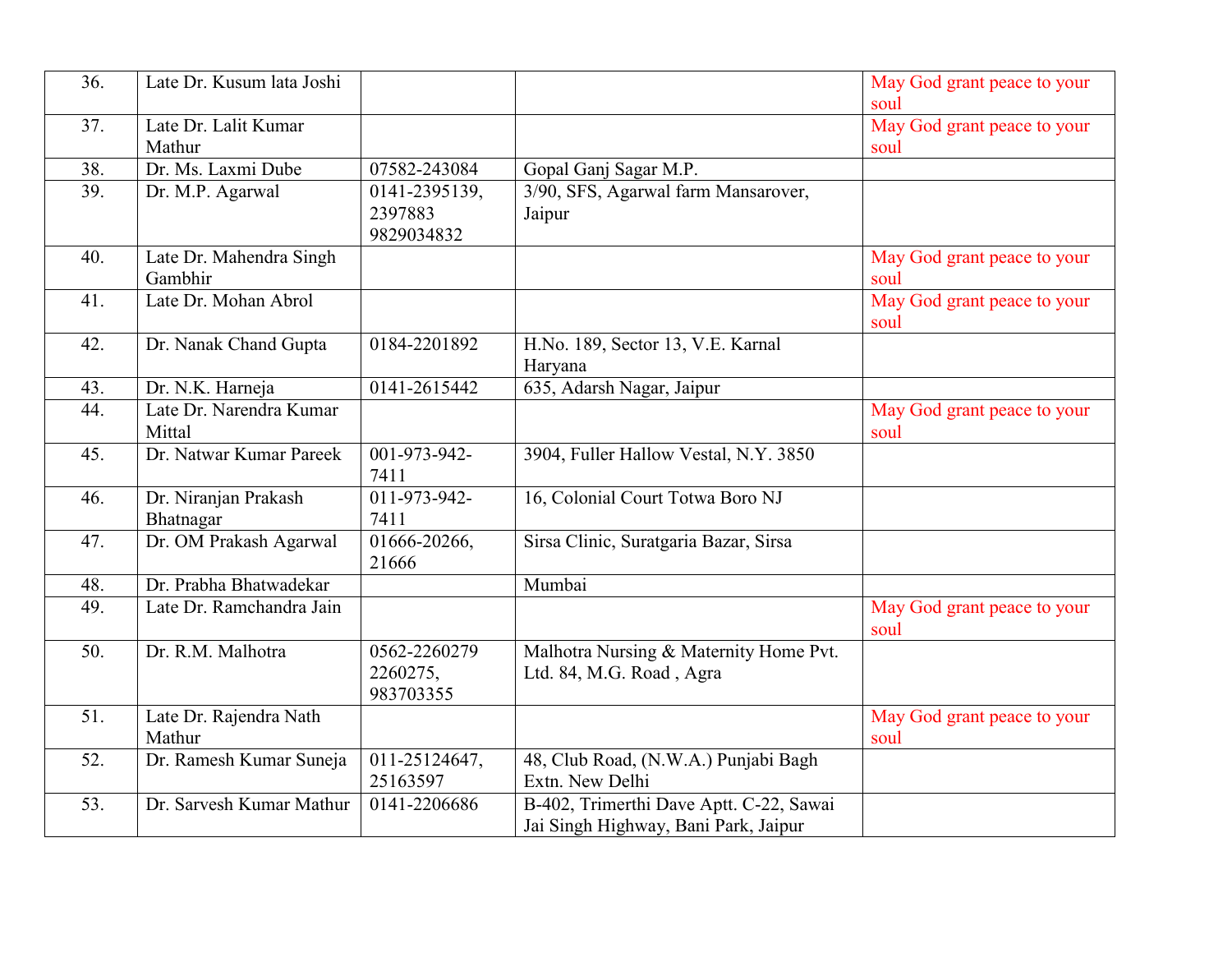| 36. | Late Dr. Kusum lata Joshi |               |                                         | May God grant peace to your |
|-----|---------------------------|---------------|-----------------------------------------|-----------------------------|
|     |                           |               |                                         | soul                        |
| 37. | Late Dr. Lalit Kumar      |               |                                         | May God grant peace to your |
|     | Mathur                    |               |                                         | soul                        |
| 38. | Dr. Ms. Laxmi Dube        | 07582-243084  | Gopal Ganj Sagar M.P.                   |                             |
| 39. | Dr. M.P. Agarwal          | 0141-2395139, | 3/90, SFS, Agarwal farm Mansarover,     |                             |
|     |                           | 2397883       | Jaipur                                  |                             |
|     |                           | 9829034832    |                                         |                             |
|     |                           |               |                                         |                             |
| 40. | Late Dr. Mahendra Singh   |               |                                         | May God grant peace to your |
|     | Gambhir                   |               |                                         | soul                        |
| 41. | Late Dr. Mohan Abrol      |               |                                         | May God grant peace to your |
|     |                           |               |                                         | soul                        |
| 42. | Dr. Nanak Chand Gupta     | 0184-2201892  | H.No. 189, Sector 13, V.E. Karnal       |                             |
|     |                           |               | Haryana                                 |                             |
| 43. | Dr. N.K. Harneja          | 0141-2615442  | 635, Adarsh Nagar, Jaipur               |                             |
| 44. | Late Dr. Narendra Kumar   |               |                                         | May God grant peace to your |
|     | Mittal                    |               |                                         | soul                        |
| 45. | Dr. Natwar Kumar Pareek   | 001-973-942-  | 3904, Fuller Hallow Vestal, N.Y. 3850   |                             |
|     |                           | 7411          |                                         |                             |
| 46. | Dr. Niranjan Prakash      | 011-973-942-  | 16, Colonial Court Totwa Boro NJ        |                             |
|     | Bhatnagar                 | 7411          |                                         |                             |
|     |                           |               |                                         |                             |
| 47. | Dr. OM Prakash Agarwal    | 01666-20266,  | Sirsa Clinic, Suratgaria Bazar, Sirsa   |                             |
|     |                           | 21666         |                                         |                             |
| 48. | Dr. Prabha Bhatwadekar    |               | Mumbai                                  |                             |
| 49. | Late Dr. Ramchandra Jain  |               |                                         | May God grant peace to your |
|     |                           |               |                                         | soul                        |
| 50. | Dr. R.M. Malhotra         | 0562-2260279  | Malhotra Nursing & Maternity Home Pvt.  |                             |
|     |                           | 2260275,      | Ltd. 84, M.G. Road, Agra                |                             |
|     |                           | 983703355     |                                         |                             |
| 51. | Late Dr. Rajendra Nath    |               |                                         | May God grant peace to your |
|     | Mathur                    |               |                                         | soul                        |
| 52. | Dr. Ramesh Kumar Suneja   | 011-25124647, | 48, Club Road, (N.W.A.) Punjabi Bagh    |                             |
|     |                           | 25163597      | Extn. New Delhi                         |                             |
| 53. | Dr. Sarvesh Kumar Mathur  | 0141-2206686  | B-402, Trimerthi Dave Aptt. C-22, Sawai |                             |
|     |                           |               |                                         |                             |
|     |                           |               | Jai Singh Highway, Bani Park, Jaipur    |                             |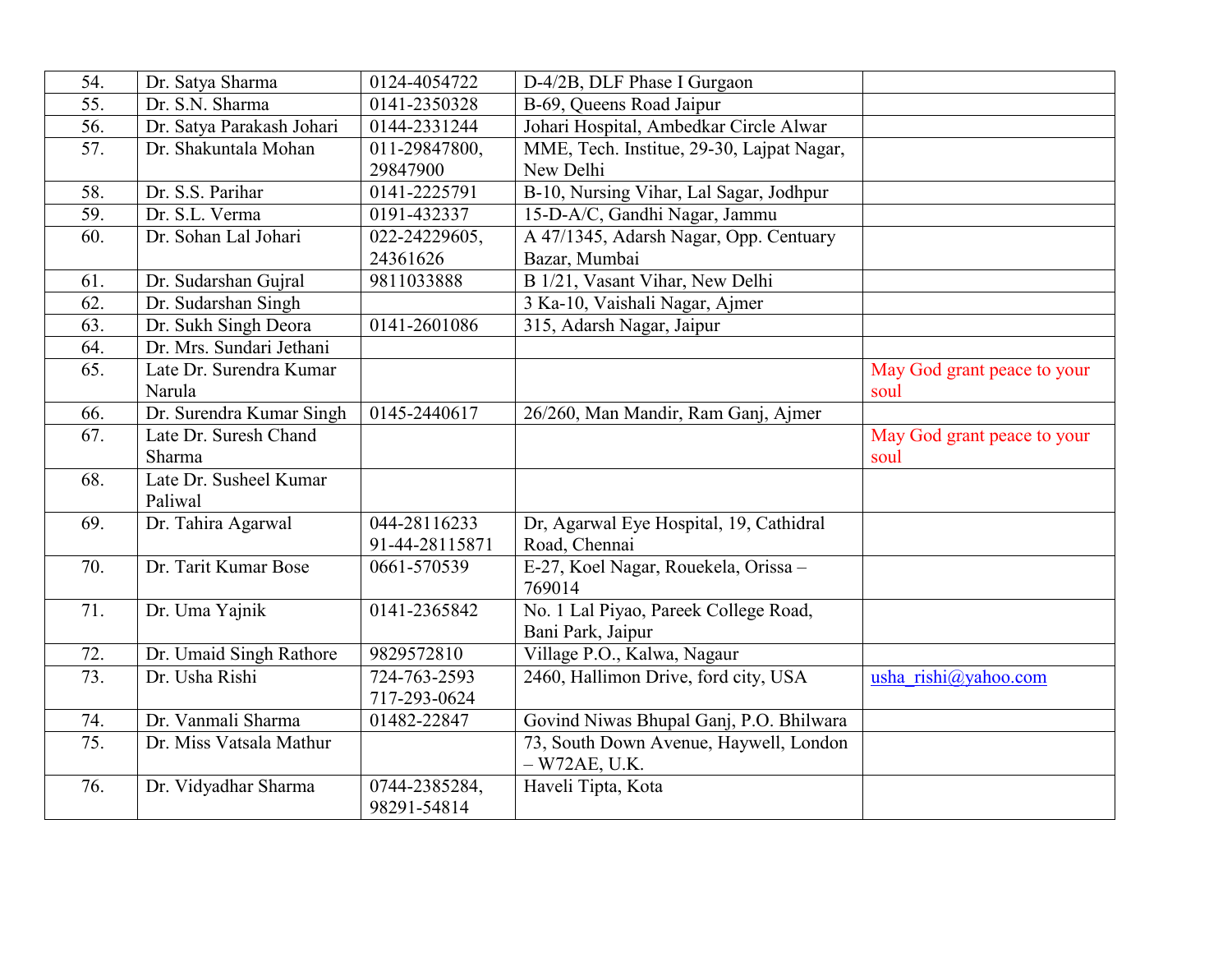| 54.               | Dr. Satya Sharma          | 0124-4054722       | D-4/2B, DLF Phase I Gurgaon               |                             |
|-------------------|---------------------------|--------------------|-------------------------------------------|-----------------------------|
| $\overline{55}$ . | Dr. S.N. Sharma           | 0141-2350328       | B-69, Queens Road Jaipur                  |                             |
| 56.               | Dr. Satya Parakash Johari | 0144-2331244       | Johari Hospital, Ambedkar Circle Alwar    |                             |
| 57.               | Dr. Shakuntala Mohan      | 011-29847800,      | MME, Tech. Institue, 29-30, Lajpat Nagar, |                             |
|                   |                           | 29847900           | New Delhi                                 |                             |
| 58.               | Dr. S.S. Parihar          | 0141-2225791       | B-10, Nursing Vihar, Lal Sagar, Jodhpur   |                             |
| 59.               | Dr. S.L. Verma            | 0191-432337        | 15-D-A/C, Gandhi Nagar, Jammu             |                             |
| 60.               | Dr. Sohan Lal Johari      | 022-24229605,      | A 47/1345, Adarsh Nagar, Opp. Centuary    |                             |
|                   |                           | 24361626           | Bazar, Mumbai                             |                             |
| 61.               | Dr. Sudarshan Gujral      | 9811033888         | B 1/21, Vasant Vihar, New Delhi           |                             |
| 62.               | Dr. Sudarshan Singh       |                    | 3 Ka-10, Vaishali Nagar, Ajmer            |                             |
| 63.               | Dr. Sukh Singh Deora      | 0141-2601086       | 315, Adarsh Nagar, Jaipur                 |                             |
| 64.               | Dr. Mrs. Sundari Jethani  |                    |                                           |                             |
| 65.               | Late Dr. Surendra Kumar   |                    |                                           | May God grant peace to your |
|                   | Narula                    |                    |                                           | soul                        |
| 66.               | Dr. Surendra Kumar Singh  | 0145-2440617       | 26/260, Man Mandir, Ram Ganj, Ajmer       |                             |
| 67.               | Late Dr. Suresh Chand     |                    |                                           | May God grant peace to your |
|                   | Sharma                    |                    |                                           | soul                        |
| 68.               | Late Dr. Susheel Kumar    |                    |                                           |                             |
|                   | Paliwal                   |                    |                                           |                             |
| 69.               | Dr. Tahira Agarwal        | 044-28116233       | Dr, Agarwal Eye Hospital, 19, Cathidral   |                             |
|                   |                           | 91-44-28115871     | Road, Chennai                             |                             |
| 70.               | Dr. Tarit Kumar Bose      | 0661-570539        | E-27, Koel Nagar, Rouekela, Orissa -      |                             |
|                   |                           |                    | 769014                                    |                             |
| 71.               | Dr. Uma Yajnik            | 0141-2365842       | No. 1 Lal Piyao, Pareek College Road,     |                             |
|                   |                           |                    | Bani Park, Jaipur                         |                             |
| 72.               | Dr. Umaid Singh Rathore   | 9829572810         | Village P.O., Kalwa, Nagaur               |                             |
| 73.               | Dr. Usha Rishi            | $724 - 763 - 2593$ | 2460, Hallimon Drive, ford city, USA      | usha rishi@yahoo.com        |
|                   |                           | 717-293-0624       |                                           |                             |
| 74.               | Dr. Vanmali Sharma        | 01482-22847        | Govind Niwas Bhupal Ganj, P.O. Bhilwara   |                             |
| 75.               | Dr. Miss Vatsala Mathur   |                    | 73, South Down Avenue, Haywell, London    |                             |
|                   |                           |                    | $-W72AE, U.K.$                            |                             |
| 76.               | Dr. Vidyadhar Sharma      | 0744-2385284,      | Haveli Tipta, Kota                        |                             |
|                   |                           | 98291-54814        |                                           |                             |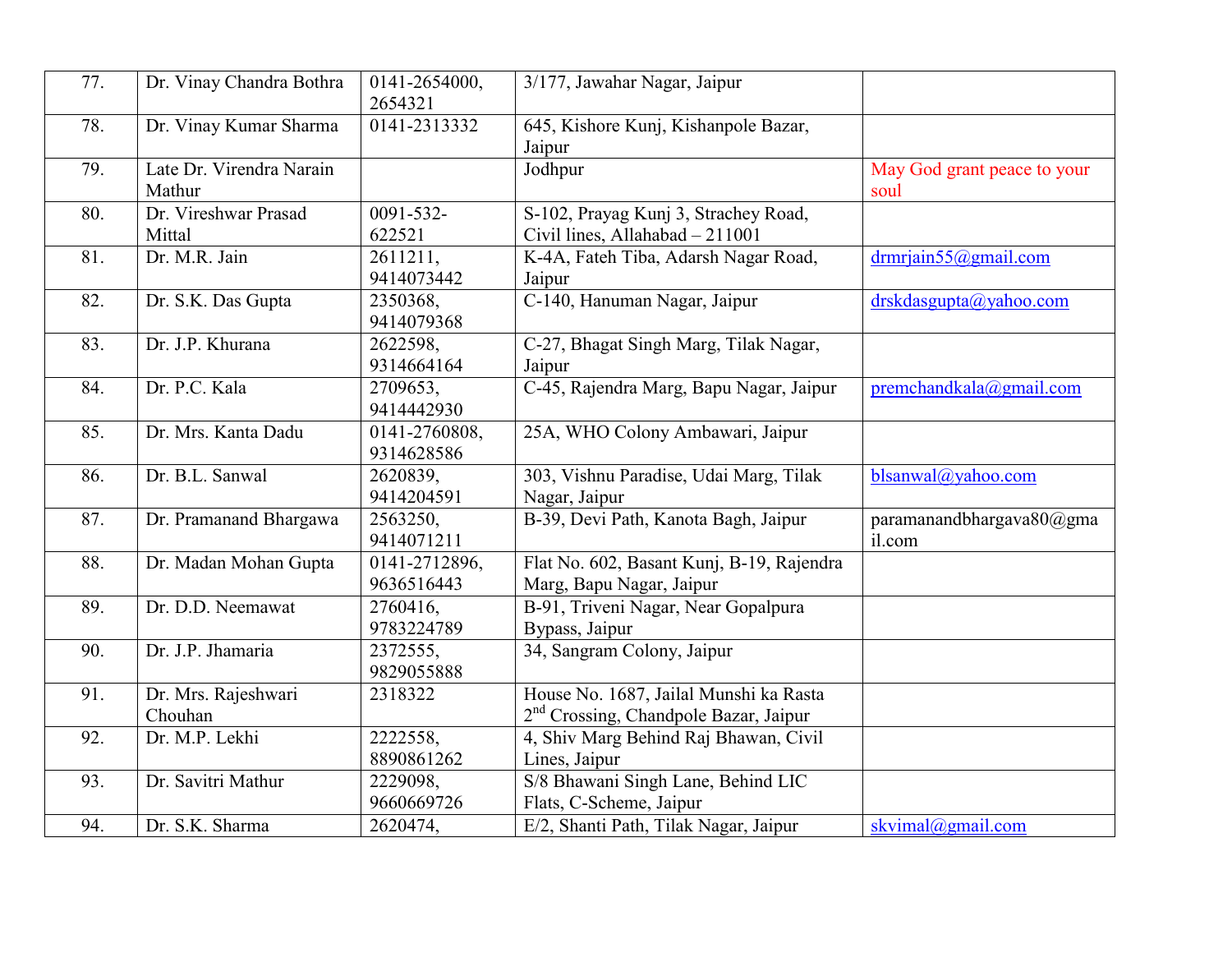| 77. | Dr. Vinay Chandra Bothra           | 0141-2654000,<br>2654321    | 3/177, Jawahar Nagar, Jaipur                                                                |                                     |
|-----|------------------------------------|-----------------------------|---------------------------------------------------------------------------------------------|-------------------------------------|
| 78. | Dr. Vinay Kumar Sharma             | 0141-2313332                | 645, Kishore Kunj, Kishanpole Bazar,<br>Jaipur                                              |                                     |
| 79. | Late Dr. Virendra Narain<br>Mathur |                             | Jodhpur                                                                                     | May God grant peace to your<br>soul |
| 80. | Dr. Vireshwar Prasad<br>Mittal     | 0091-532-<br>622521         | S-102, Prayag Kunj 3, Strachey Road,<br>Civil lines, Allahabad - 211001                     |                                     |
| 81. | Dr. M.R. Jain                      | 2611211,<br>9414073442      | K-4A, Fateh Tiba, Adarsh Nagar Road,<br>Jaipur                                              | $d$ <sub>rm</sub> riain55@gmail.com |
| 82. | Dr. S.K. Das Gupta                 | 2350368.<br>9414079368      | C-140, Hanuman Nagar, Jaipur                                                                | drskdasgupta@yahoo.com              |
| 83. | Dr. J.P. Khurana                   | 2622598.<br>9314664164      | C-27, Bhagat Singh Marg, Tilak Nagar,<br>Jaipur                                             |                                     |
| 84. | Dr. P.C. Kala                      | 2709653,<br>9414442930      | C-45, Rajendra Marg, Bapu Nagar, Jaipur                                                     | premchandkala@gmail.com             |
| 85. | Dr. Mrs. Kanta Dadu                | 0141-2760808,<br>9314628586 | 25A, WHO Colony Ambawari, Jaipur                                                            |                                     |
| 86. | Dr. B.L. Sanwal                    | 2620839,<br>9414204591      | 303, Vishnu Paradise, Udai Marg, Tilak<br>Nagar, Jaipur                                     | blsanwal@yahoo.com                  |
| 87. | Dr. Pramanand Bhargawa             | 2563250,<br>9414071211      | B-39, Devi Path, Kanota Bagh, Jaipur                                                        | paramanandbhargava80@gma<br>il.com  |
| 88. | Dr. Madan Mohan Gupta              | 0141-2712896,<br>9636516443 | Flat No. 602, Basant Kunj, B-19, Rajendra<br>Marg, Bapu Nagar, Jaipur                       |                                     |
| 89. | Dr. D.D. Neemawat                  | 2760416.<br>9783224789      | B-91, Triveni Nagar, Near Gopalpura<br>Bypass, Jaipur                                       |                                     |
| 90. | Dr. J.P. Jhamaria                  | 2372555,<br>9829055888      | 34, Sangram Colony, Jaipur                                                                  |                                     |
| 91. | Dr. Mrs. Rajeshwari<br>Chouhan     | 2318322                     | House No. 1687, Jailal Munshi ka Rasta<br>2 <sup>nd</sup> Crossing, Chandpole Bazar, Jaipur |                                     |
| 92. | Dr. M.P. Lekhi                     | 2222558.<br>8890861262      | 4, Shiv Marg Behind Raj Bhawan, Civil<br>Lines, Jaipur                                      |                                     |
| 93. | Dr. Savitri Mathur                 | 2229098,<br>9660669726      | S/8 Bhawani Singh Lane, Behind LIC<br>Flats, C-Scheme, Jaipur                               |                                     |
| 94. | Dr. S.K. Sharma                    | 2620474,                    | E/2, Shanti Path, Tilak Nagar, Jaipur                                                       | skvimal@gmail.com                   |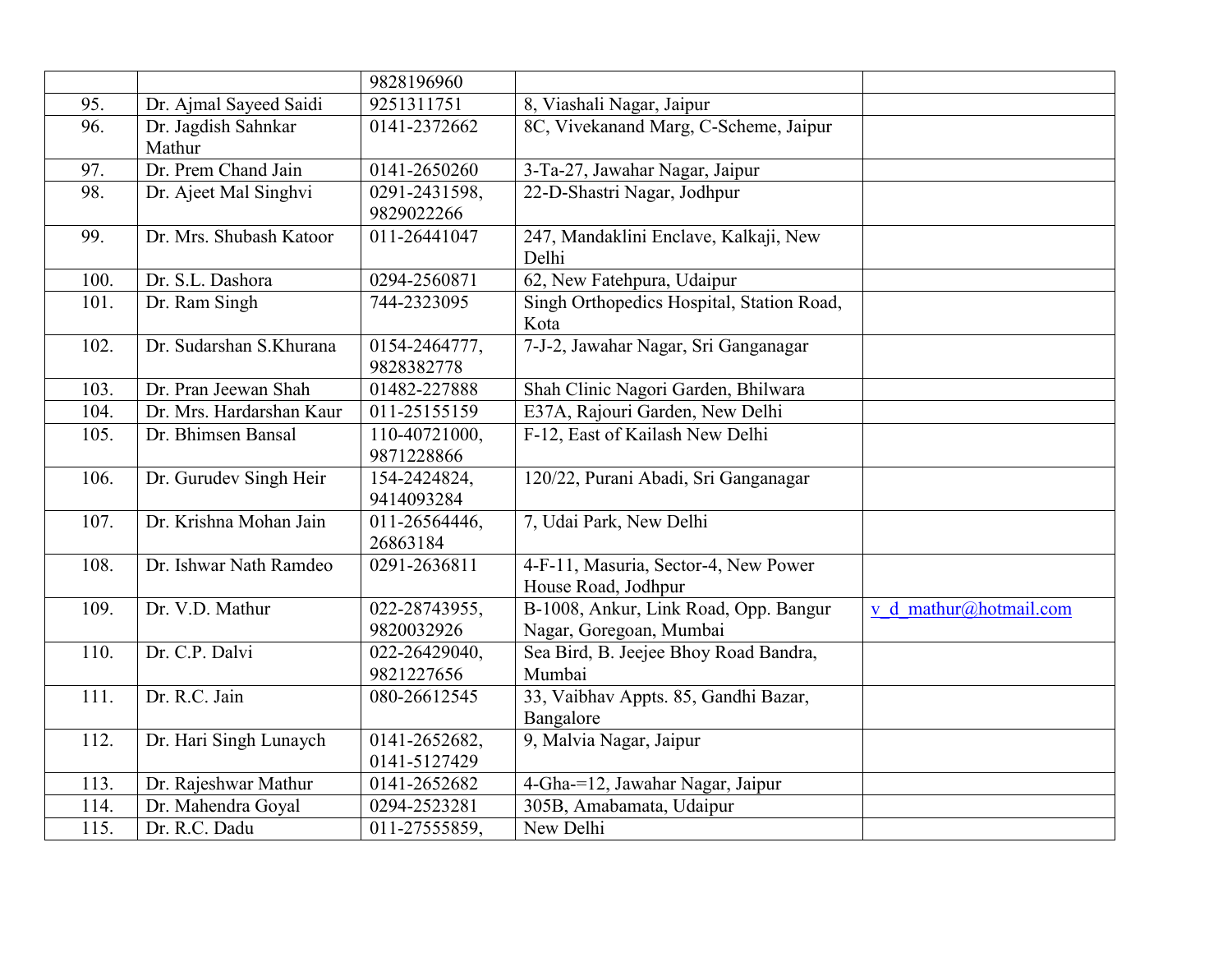|              |                          | 9828196960    |                                           |                        |
|--------------|--------------------------|---------------|-------------------------------------------|------------------------|
| 95.          | Dr. Ajmal Sayeed Saidi   | 9251311751    | 8, Viashali Nagar, Jaipur                 |                        |
| 96.          | Dr. Jagdish Sahnkar      | 0141-2372662  | 8C, Vivekanand Marg, C-Scheme, Jaipur     |                        |
|              | Mathur                   |               |                                           |                        |
| 97.          | Dr. Prem Chand Jain      | 0141-2650260  | 3-Ta-27, Jawahar Nagar, Jaipur            |                        |
| 98.          | Dr. Ajeet Mal Singhvi    | 0291-2431598, | 22-D-Shastri Nagar, Jodhpur               |                        |
|              |                          | 9829022266    |                                           |                        |
| 99.          | Dr. Mrs. Shubash Katoor  | 011-26441047  | 247, Mandaklini Enclave, Kalkaji, New     |                        |
|              |                          |               | Delhi                                     |                        |
| 100.         | Dr. S.L. Dashora         | 0294-2560871  | 62, New Fatehpura, Udaipur                |                        |
| 101.         | Dr. Ram Singh            | 744-2323095   | Singh Orthopedics Hospital, Station Road, |                        |
|              |                          |               | Kota                                      |                        |
| 102.         | Dr. Sudarshan S.Khurana  | 0154-2464777, | 7-J-2, Jawahar Nagar, Sri Ganganagar      |                        |
|              |                          | 9828382778    |                                           |                        |
| 103.         | Dr. Pran Jeewan Shah     | 01482-227888  | Shah Clinic Nagori Garden, Bhilwara       |                        |
| 104.         | Dr. Mrs. Hardarshan Kaur | 011-25155159  | E37A, Rajouri Garden, New Delhi           |                        |
| 105.         | Dr. Bhimsen Bansal       | 110-40721000, | F-12, East of Kailash New Delhi           |                        |
|              |                          | 9871228866    |                                           |                        |
| 106.         | Dr. Gurudev Singh Heir   | 154-2424824,  | 120/22, Purani Abadi, Sri Ganganagar      |                        |
|              |                          | 9414093284    |                                           |                        |
| 107.         | Dr. Krishna Mohan Jain   | 011-26564446, | 7, Udai Park, New Delhi                   |                        |
|              |                          | 26863184      |                                           |                        |
| 108.         | Dr. Ishwar Nath Ramdeo   | 0291-2636811  | 4-F-11, Masuria, Sector-4, New Power      |                        |
|              |                          |               | House Road, Jodhpur                       |                        |
| 109.         | Dr. V.D. Mathur          | 022-28743955, | B-1008, Ankur, Link Road, Opp. Bangur     | v d mathur@hotmail.com |
|              |                          | 9820032926    | Nagar, Goregoan, Mumbai                   |                        |
| 110.         | Dr. C.P. Dalvi           | 022-26429040, | Sea Bird, B. Jeejee Bhoy Road Bandra,     |                        |
|              |                          | 9821227656    | Mumbai                                    |                        |
| 111.         | Dr. R.C. Jain            | 080-26612545  | 33, Vaibhav Appts. 85, Gandhi Bazar,      |                        |
|              |                          |               | Bangalore                                 |                        |
| 112.         | Dr. Hari Singh Lunaych   | 0141-2652682, | 9, Malvia Nagar, Jaipur                   |                        |
|              |                          | 0141-5127429  |                                           |                        |
| 113.         | Dr. Rajeshwar Mathur     | 0141-2652682  | 4-Gha-=12, Jawahar Nagar, Jaipur          |                        |
| 114.<br>115. | Dr. Mahendra Goyal       | 0294-2523281  | 305B, Amabamata, Udaipur<br>New Delhi     |                        |
|              | Dr. R.C. Dadu            | 011-27555859, |                                           |                        |